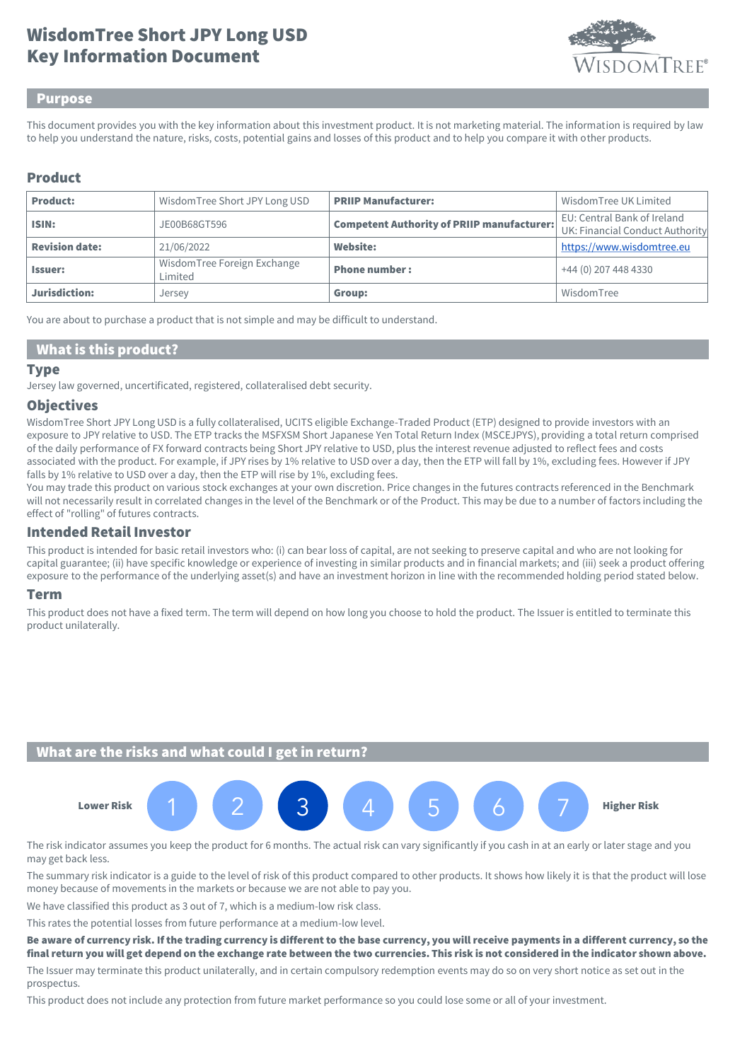# Key Information Document WisdomTree Short JPY Long USD



#### Purpose

This document provides you with the key information about this investment product. It is not marketing material. The information is required by law to help you understand the nature, risks, costs, potential gains and losses of this product and to help you compare it with other products.

## Product

| <b>Product:</b>       | WisdomTree Short JPY Long USD          | <b>PRIIP Manufacturer:</b>                        | Wisdom Tree UK Limited                                         |
|-----------------------|----------------------------------------|---------------------------------------------------|----------------------------------------------------------------|
| ISIN:                 | JE00B68GT596                           | <b>Competent Authority of PRIIP manufacturer:</b> | EU: Central Bank of Ireland<br>UK: Financial Conduct Authority |
| <b>Revision date:</b> | 21/06/2022                             | <b>Website:</b>                                   | https://www.wisdomtree.eu                                      |
| <b>Issuer:</b>        | WisdomTree Foreign Exchange<br>Limited | <b>Phone number:</b>                              | +44 (0) 207 448 4330                                           |
| Jurisdiction:         | Jersey                                 | Group:                                            | WisdomTree                                                     |

You are about to purchase a product that is not simple and may be difficult to understand.

#### What is this product?

#### Type

Jersey law governed, uncertificated, registered, collateralised debt security.

#### **Objectives**

WisdomTree Short JPY Long USD is a fully collateralised, UCITS eligible Exchange-Traded Product (ETP) designed to provide investors with an exposure to JPY relative to USD. The ETP tracks the MSFXSM Short Japanese Yen Total Return Index (MSCEJPYS), providing a total return comprised of the daily performance of FX forward contracts being Short JPY relative to USD, plus the interest revenue adjusted to reflect fees and costs associated with the product. For example, if JPY rises by 1% relative to USD over a day, then the ETP will fall by 1%, excluding fees. However if JPY falls by 1% relative to USD over a day, then the ETP will rise by 1%, excluding fees.

You may trade this product on various stock exchanges at your own discretion. Price changes in the futures contracts referenced in the Benchmark will not necessarily result in correlated changes in the level of the Benchmark or of the Product. This may be due to a number of factors including the effect of "rolling" of futures contracts.

## Intended Retail Investor

This product is intended for basic retail investors who: (i) can bear loss of capital, are not seeking to preserve capital and who are not looking for capital guarantee; (ii) have specific knowledge or experience of investing in similar products and in financial markets; and (iii) seek a product offering exposure to the performance of the underlying asset(s) and have an investment horizon in line with the recommended holding period stated below.

#### Term

This product does not have a fixed term. The term will depend on how long you choose to hold the product. The Issuer is entitled to terminate this product unilaterally.

## What are the risks and what could I get in return?



The risk indicator assumes you keep the product for 6 months. The actual risk can vary significantly if you cash in at an early or later stage and you may get back less.

The summary risk indicator is a guide to the level of risk of this product compared to other products. It shows how likely it is that the product will lose money because of movements in the markets or because we are not able to pay you.

We have classified this product as 3 out of 7, which is a medium-low risk class.

This rates the potential losses from future performance at a medium-low level.

Be aware of currency risk. If the trading currency is different to the base currency, you will receive payments in a different currency, so the final return you will get depend on the exchange rate between the two currencies. This risk is not considered in the indicator shown above.

The Issuer may terminate this product unilaterally, and in certain compulsory redemption events may do so on very short notice as set out in the prospectus.

This product does not include any protection from future market performance so you could lose some or all of your investment.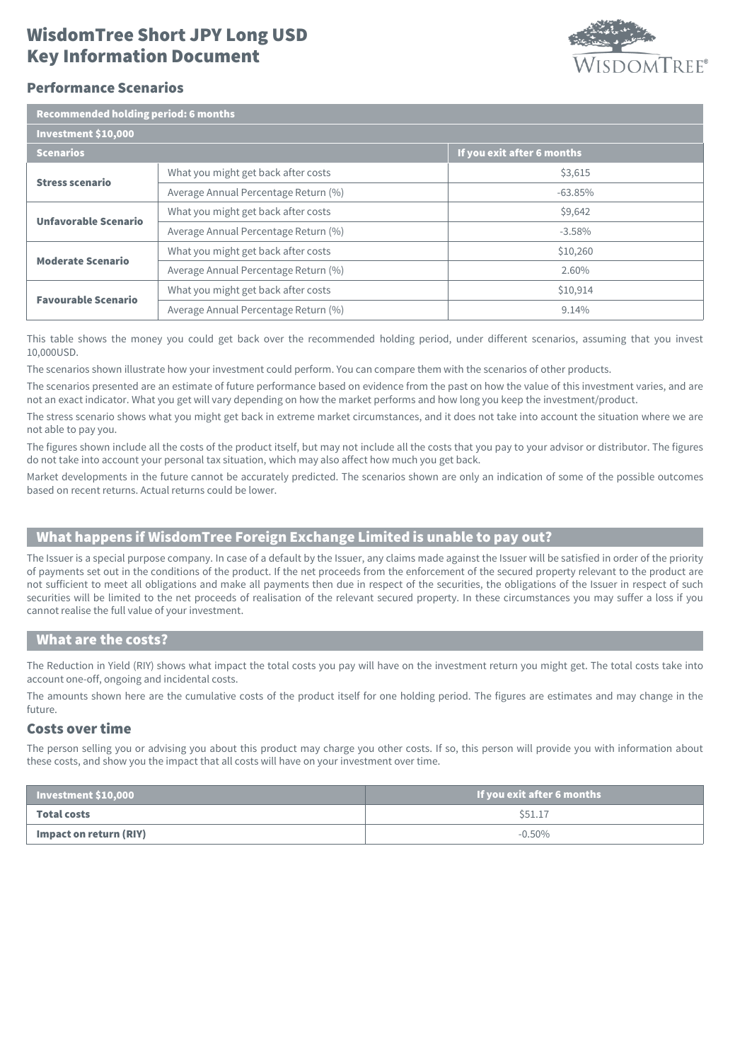## Key Information Document WisdomTree Short JPY Long USD



## Performance Scenarios

| Recommended holding period: 6 months |                                      |                            |  |  |
|--------------------------------------|--------------------------------------|----------------------------|--|--|
| Investment \$10,000                  |                                      |                            |  |  |
| <b>Scenarios</b>                     |                                      | If you exit after 6 months |  |  |
| <b>Stress scenario</b>               | What you might get back after costs  | \$3,615                    |  |  |
|                                      | Average Annual Percentage Return (%) | $-63.85%$                  |  |  |
| <b>Unfavorable Scenario</b>          | What you might get back after costs  | \$9,642                    |  |  |
|                                      | Average Annual Percentage Return (%) | $-3.58%$                   |  |  |
| <b>Moderate Scenario</b>             | What you might get back after costs  | \$10,260                   |  |  |
|                                      | Average Annual Percentage Return (%) | 2.60%                      |  |  |
| <b>Favourable Scenario</b>           | What you might get back after costs  | \$10,914                   |  |  |
|                                      | Average Annual Percentage Return (%) | 9.14%                      |  |  |

This table shows the money you could get back over the recommended holding period, under different scenarios, assuming that you invest 10,000USD.

The scenarios shown illustrate how your investment could perform. You can compare them with the scenarios of other products.

The scenarios presented are an estimate of future performance based on evidence from the past on how the value of this investment varies, and are not an exact indicator. What you get will vary depending on how the market performs and how long you keep the investment/product.

The stress scenario shows what you might get back in extreme market circumstances, and it does not take into account the situation where we are not able to pay you.

The figures shown include all the costs of the product itself, but may not include all the costs that you pay to your advisor or distributor. The figures do not take into account your personal tax situation, which may also affect how much you get back.

Market developments in the future cannot be accurately predicted. The scenarios shown are only an indication of some of the possible outcomes based on recent returns. Actual returns could be lower.

## What happens if WisdomTree Foreign Exchange Limited is unable to pay out?

The Issuer is a special purpose company. In case of a default by the Issuer, any claims made against the Issuer will be satisfied in order of the priority of payments set out in the conditions of the product. If the net proceeds from the enforcement of the secured property relevant to the product are not sufficient to meet all obligations and make all payments then due in respect of the securities, the obligations of the Issuer in respect of such securities will be limited to the net proceeds of realisation of the relevant secured property. In these circumstances you may suffer a loss if you cannot realise the full value of your investment.

#### What are the costs?

The Reduction in Yield (RIY) shows what impact the total costs you pay will have on the investment return you might get. The total costs take into account one-off, ongoing and incidental costs.

The amounts shown here are the cumulative costs of the product itself for one holding period. The figures are estimates and may change in the future.

## Costs over time

The person selling you or advising you about this product may charge you other costs. If so, this person will provide you with information about these costs, and show you the impact that all costs will have on your investment over time.

| Investment \$10,000    | If you exit after 6 months |
|------------------------|----------------------------|
| Total costs            | \$51.17                    |
| Impact on return (RIY) | $-0.50\%$                  |